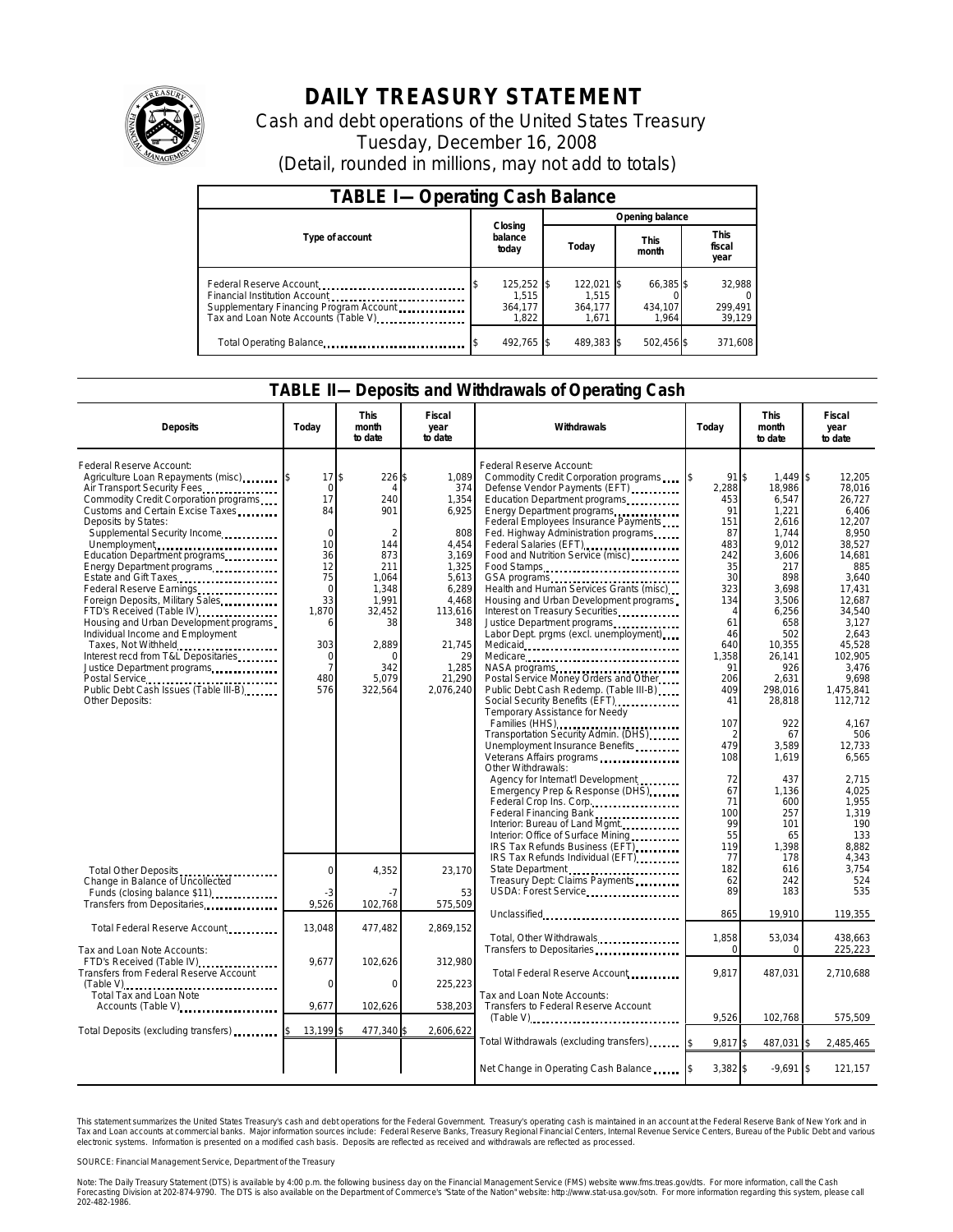

## **DAILY TREASURY STATEMENT**

Cash and debt operations of the United States Treasury Tuesday, December 16, 2008 (Detail, rounded in millions, may not add to totals)

| <b>TABLE I-Operating Cash Balance</b>                                                                                                       |                                         |                                         |                               |                               |  |  |  |  |  |
|---------------------------------------------------------------------------------------------------------------------------------------------|-----------------------------------------|-----------------------------------------|-------------------------------|-------------------------------|--|--|--|--|--|
|                                                                                                                                             |                                         | Opening balance                         |                               |                               |  |  |  |  |  |
| Type of account                                                                                                                             | Closing<br>balance<br>today             | Today                                   | <b>This</b><br>month          | <b>This</b><br>fiscal<br>year |  |  |  |  |  |
| Federal Reserve Account<br>Financial Institution Account<br>Supplementary Financing Program Account<br>Tax and Loan Note Accounts (Table V) | 125,252 \$<br>1.515<br>364.177<br>1.822 | 122,021 \$<br>1.515<br>364.177<br>1.671 | 66,385 \$<br>434.107<br>1.964 | 32,988<br>299,491<br>39,129   |  |  |  |  |  |
| Total Operating Balance                                                                                                                     | 492.765 \$                              | 489.383 \$                              | 502,456 \$                    | 371.608                       |  |  |  |  |  |

## **TABLE II—Deposits and Withdrawals of Operating Cash**

| <b>Deposits</b>                                                                                                                                                                                                                                                                                                                                                                                                                                                                                                                                                                                                                                   | Today                                                                                                                                         | This<br>month<br>to date                                                                                                                     | Fiscal<br>year<br>to date                                                                                                                                     | Withdrawals                                                                                                                                                                                                                                                                                                                                                                                                                                                                                                                                                                                                                                                                                                                                                                                                                                                                                                                                                                                                                                                                          | Today                                                                                                                                                                                                                                        | This<br>month<br>to date                                                                                                                                                                                                                                                      | Fiscal<br>year<br>to date                                                                                                                                                                                                                                                                               |
|---------------------------------------------------------------------------------------------------------------------------------------------------------------------------------------------------------------------------------------------------------------------------------------------------------------------------------------------------------------------------------------------------------------------------------------------------------------------------------------------------------------------------------------------------------------------------------------------------------------------------------------------------|-----------------------------------------------------------------------------------------------------------------------------------------------|----------------------------------------------------------------------------------------------------------------------------------------------|---------------------------------------------------------------------------------------------------------------------------------------------------------------|--------------------------------------------------------------------------------------------------------------------------------------------------------------------------------------------------------------------------------------------------------------------------------------------------------------------------------------------------------------------------------------------------------------------------------------------------------------------------------------------------------------------------------------------------------------------------------------------------------------------------------------------------------------------------------------------------------------------------------------------------------------------------------------------------------------------------------------------------------------------------------------------------------------------------------------------------------------------------------------------------------------------------------------------------------------------------------------|----------------------------------------------------------------------------------------------------------------------------------------------------------------------------------------------------------------------------------------------|-------------------------------------------------------------------------------------------------------------------------------------------------------------------------------------------------------------------------------------------------------------------------------|---------------------------------------------------------------------------------------------------------------------------------------------------------------------------------------------------------------------------------------------------------------------------------------------------------|
| Federal Reserve Account:<br>Agriculture Loan Repayments (misc)<br>Air Transport Security Fees<br>Commodity Credit Corporation programs<br>Customs and Certain Excise Taxes<br>Deposits by States:<br>Supplemental Security Income<br>Unemployment<br>Education Department programs<br>Energy Department programs<br>Estate and Gift Taxes<br>Foreign Deposits, Military Sales<br>FTD's Received (Table IV)<br>Housing and Urban Development programs<br>Individual Income and Employment<br>Taxes, Not Withheld<br>Interest recd from T&L Depositaries<br>Justice Department programs<br>Public Debt Cash Issues (Table III-B)<br>Other Deposits: | 17<br>$\Omega$<br>17<br>84<br>$\Omega$<br>10<br>36<br>12<br>75<br>$\mathbf 0$<br>33<br>1,870<br>6<br>303<br>0<br>$\overline{7}$<br>480<br>576 | \$<br>226<br>240<br>901<br>2<br>144<br>873<br>211<br>1.064<br>1,348<br>1,991<br>32,452<br>38<br>2,889<br>$\Omega$<br>342<br>5,079<br>322,564 | 1,089<br>374<br>1,354<br>6,925<br>808<br>4,454<br>3,169<br>1,325<br>5.613<br>6,289<br>4,468<br>113,616<br>348<br>21,745<br>29<br>1,285<br>21,290<br>2,076,240 | Federal Reserve Account:<br>Commodity Credit Corporation programs<br>Defense Vendor Payments (EFT)<br>Education Department programs<br>Energy Department programs<br>Federal Employees Insurance Payments<br>Fed. Highway Administration programs<br>Federal Salaries (EFT)<br>Food and Nutrition Service (misc)<br>Food Stamps<br>Health and Human Services Grants (misc)<br>Housing and Urban Development programs<br>Interest on Treasury Securities.<br>Justice Department programs<br>Labor Dept. prgms (excl. unemployment)<br>Medicare<br>NASA programs<br>Postal Service Money Orders and Other<br>Public Debt Cash Redemp. (Table III-B)<br>Temporary Assistance for Needy<br>Families (HHS) <b></b><br>Transportation Security Admin. (DHS)<br>Unemployment Insurance Benefits<br>Veterans Affairs programs<br>Other Withdrawals:<br>Agency for Internat'l Development.<br>Emergency Prep & Response (DHS)<br>Federal Crop Ins. Corp.<br>Federal Financing Bank<br>Interior: Bureau of Land Mgmt.<br>Interior: Office of Surface Mining<br>IRS Tax Refunds Business (EFT). | $91$ s<br>2.288<br>453<br>91<br>151<br>87<br>483<br>242<br>35<br>30<br>323<br>134<br>$\overline{4}$<br>61<br>46<br>640<br>1,358<br>91<br>206<br>409<br>41<br>107<br>$\mathfrak{D}$<br>479<br>108<br>72<br>67<br>71<br>100<br>99<br>55<br>119 | $1,449$ \$<br>18.986<br>6,547<br>1,221<br>2,616<br>1.744<br>9.012<br>3.606<br>217<br>898<br>3,698<br>3,506<br>6,256<br>658<br>502<br>10,355<br>26,141<br>926<br>2,631<br>298.016<br>28,818<br>922<br>67<br>3,589<br>1,619<br>437<br>1,136<br>600<br>257<br>101<br>65<br>1,398 | 12,205<br>78.016<br>26,727<br>6,406<br>12,207<br>8.950<br>38,527<br>14.681<br>885<br>3.640<br>17,431<br>12,687<br>34,540<br>3.127<br>2,643<br>45,528<br>102,905<br>3,476<br>9.698<br>1.475.841<br>112,712<br>4,167<br>506<br>12,733<br>6,565<br>2,715<br>4.025<br>1,955<br>1.319<br>190<br>133<br>8,882 |
| Total Other Deposits<br>Change in Balance of Uncollected<br>Funds (closing balance \$11)<br>Transfers from Depositaries                                                                                                                                                                                                                                                                                                                                                                                                                                                                                                                           | $\mathbf 0$<br>-3<br>9,526                                                                                                                    | 4,352<br>$-7$<br>102,768                                                                                                                     | 23,170<br>53<br>575,509                                                                                                                                       | IRS Tax Refunds Individual (EFT)<br>State Department<br>Treasury Dept: Claims Payments<br>USDA: Forest Service<br>Unclassified                                                                                                                                                                                                                                                                                                                                                                                                                                                                                                                                                                                                                                                                                                                                                                                                                                                                                                                                                       | 77<br>182<br>62<br>89<br>865                                                                                                                                                                                                                 | 178<br>616<br>242<br>183<br>19,910                                                                                                                                                                                                                                            | 4.343<br>3.754<br>524<br>535<br>119,355                                                                                                                                                                                                                                                                 |
| Total Federal Reserve Account                                                                                                                                                                                                                                                                                                                                                                                                                                                                                                                                                                                                                     | 13,048                                                                                                                                        | 477,482                                                                                                                                      | 2.869.152                                                                                                                                                     | Total, Other Withdrawals                                                                                                                                                                                                                                                                                                                                                                                                                                                                                                                                                                                                                                                                                                                                                                                                                                                                                                                                                                                                                                                             | 1,858                                                                                                                                                                                                                                        | 53,034                                                                                                                                                                                                                                                                        | 438,663                                                                                                                                                                                                                                                                                                 |
| Tax and Loan Note Accounts:<br>FTD's Received (Table IV)<br>Transfers from Federal Reserve Account<br>Total Tax and Loan Note                                                                                                                                                                                                                                                                                                                                                                                                                                                                                                                     | 9,677<br>$\mathbf 0$                                                                                                                          | 102,626<br>0                                                                                                                                 | 312,980<br>225,223                                                                                                                                            | Transfers to Depositaries<br>Total Federal Reserve Account<br>Tax and Loan Note Accounts:                                                                                                                                                                                                                                                                                                                                                                                                                                                                                                                                                                                                                                                                                                                                                                                                                                                                                                                                                                                            | $\Omega$<br>9.817                                                                                                                                                                                                                            | $\Omega$<br>487,031                                                                                                                                                                                                                                                           | 225,223<br>2,710,688                                                                                                                                                                                                                                                                                    |
| Accounts (Table V)                                                                                                                                                                                                                                                                                                                                                                                                                                                                                                                                                                                                                                | 9,677                                                                                                                                         | 102,626                                                                                                                                      | 538,203                                                                                                                                                       | Transfers to Federal Reserve Account                                                                                                                                                                                                                                                                                                                                                                                                                                                                                                                                                                                                                                                                                                                                                                                                                                                                                                                                                                                                                                                 | 9,526                                                                                                                                                                                                                                        | 102,768                                                                                                                                                                                                                                                                       | 575,509                                                                                                                                                                                                                                                                                                 |
| Total Deposits (excluding transfers)                                                                                                                                                                                                                                                                                                                                                                                                                                                                                                                                                                                                              | 13,199                                                                                                                                        | 477,340                                                                                                                                      | 2,606,622                                                                                                                                                     | Total Withdrawals (excluding transfers) [\$                                                                                                                                                                                                                                                                                                                                                                                                                                                                                                                                                                                                                                                                                                                                                                                                                                                                                                                                                                                                                                          | 9,817 \$                                                                                                                                                                                                                                     | 487,031 \$                                                                                                                                                                                                                                                                    | 2,485,465                                                                                                                                                                                                                                                                                               |
|                                                                                                                                                                                                                                                                                                                                                                                                                                                                                                                                                                                                                                                   |                                                                                                                                               |                                                                                                                                              |                                                                                                                                                               | Net Change in Operating Cash Balance                                                                                                                                                                                                                                                                                                                                                                                                                                                                                                                                                                                                                                                                                                                                                                                                                                                                                                                                                                                                                                                 | 3,382 \$                                                                                                                                                                                                                                     | $-9,691$ \$                                                                                                                                                                                                                                                                   | 121,157                                                                                                                                                                                                                                                                                                 |

This statement summarizes the United States Treasury's cash and debt operations for the Federal Government. Treasury's operating cash is maintained in an account at the Federal Reserve Bank of New York and in Tax and Loan accounts at commercial banks. Major information sources include: Federal Reserve Banks, Treasury Regional Financial Centers, Internal Revenue Service Centers, Bureau of the Public Debt and various<br>electronic s

SOURCE: Financial Management Service, Department of the Treasury

Note: The Daily Treasury Statement (DTS) is available by 4:00 p.m. the following business day on the Financial Management Service (FMS) website www.fms.treas.gov/dts.<br>Forecasting Division at 202-874-9790. The DTS is also a 'S) is available by 4:00 p.m. the following business day on the Financial Management Service (FMS) website www.fms.treas.gov/dts. For more information, call the Cash<br>The DTS is also available on the Department of Commerce'